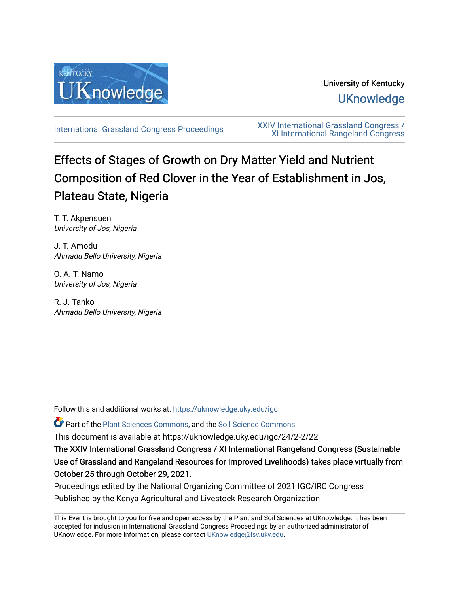

University of Kentucky **UKnowledge** 

[International Grassland Congress Proceedings](https://uknowledge.uky.edu/igc) [XXIV International Grassland Congress /](https://uknowledge.uky.edu/igc/24)  [XI International Rangeland Congress](https://uknowledge.uky.edu/igc/24) 

# Effects of Stages of Growth on Dry Matter Yield and Nutrient Composition of Red Clover in the Year of Establishment in Jos, Plateau State, Nigeria

T. T. Akpensuen University of Jos, Nigeria

J. T. Amodu Ahmadu Bello University, Nigeria

O. A. T. Namo University of Jos, Nigeria

R. J. Tanko Ahmadu Bello University, Nigeria

Follow this and additional works at: [https://uknowledge.uky.edu/igc](https://uknowledge.uky.edu/igc?utm_source=uknowledge.uky.edu%2Figc%2F24%2F2-2%2F22&utm_medium=PDF&utm_campaign=PDFCoverPages) 

Part of the [Plant Sciences Commons](http://network.bepress.com/hgg/discipline/102?utm_source=uknowledge.uky.edu%2Figc%2F24%2F2-2%2F22&utm_medium=PDF&utm_campaign=PDFCoverPages), and the [Soil Science Commons](http://network.bepress.com/hgg/discipline/163?utm_source=uknowledge.uky.edu%2Figc%2F24%2F2-2%2F22&utm_medium=PDF&utm_campaign=PDFCoverPages) 

This document is available at https://uknowledge.uky.edu/igc/24/2-2/22

The XXIV International Grassland Congress / XI International Rangeland Congress (Sustainable Use of Grassland and Rangeland Resources for Improved Livelihoods) takes place virtually from October 25 through October 29, 2021.

Proceedings edited by the National Organizing Committee of 2021 IGC/IRC Congress Published by the Kenya Agricultural and Livestock Research Organization

This Event is brought to you for free and open access by the Plant and Soil Sciences at UKnowledge. It has been accepted for inclusion in International Grassland Congress Proceedings by an authorized administrator of UKnowledge. For more information, please contact [UKnowledge@lsv.uky.edu](mailto:UKnowledge@lsv.uky.edu).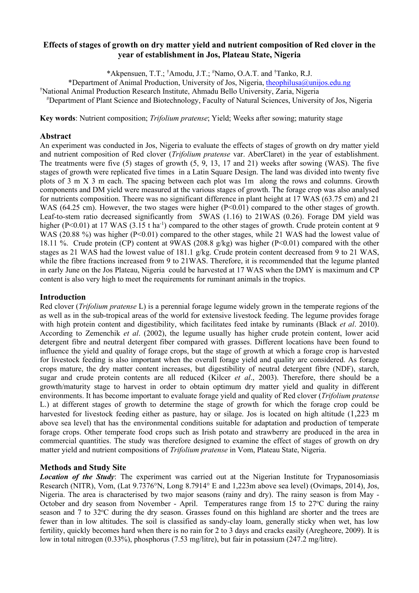## **Effects of stages of growth on dry matter yield and nutrient composition of Red clover in the year of establishment in Jos, Plateau State, Nigeria**

\*Akpensuen, T.T.; † Amodu, J.T.; # Namo, O.A.T. and † Tanko, R.J.

\*Department of Animal Production, University of Jos, Nigeria, [theophilusa@unijos.edu.ng](mailto:theophilusa@unijos.edu.ng)

† National Animal Production Research Institute, Ahmadu Bello University, Zaria, Nigeria

# Department of Plant Science and Biotechnology, Faculty of Natural Sciences, University of Jos, Nigeria

**Key words**: Nutrient composition; *Trifolium pratense*; Yield; Weeks after sowing; maturity stage

## **Abstract**

An experiment was conducted in Jos, Nigeria to evaluate the effects of stages of growth on dry matter yield and nutrient composition of Red clover (*Trifolium pratense* var. AberClaret) in the year of establishment. The treatments were five (5) stages of growth (5, 9, 13, 17 and 21) weeks after sowing (WAS). The five stages of growth were replicated five times in a Latin Square Design. The land was divided into twenty five plots of 3 m X 3 m each. The spacing between each plot was 1m along the rows and columns. Growth components and DM yield were measured at the various stages of growth. The forage crop was also analysed for nutrients composition. Theere was no significant difference in plant height at 17 WAS (63.75 cm) and 21 WAS (64.25 cm). However, the two stages were higher  $(P<0.01)$  compared to the other stages of growth. Leaf-to-stem ratio decreased significantly from 5WAS (1.16) to 21WAS (0.26). Forage DM yield was higher (P<0.01) at 17 WAS (3.15 t ha<sup>-1</sup>) compared to the other stages of growth. Crude protein content at 9 WAS (20.88 %) was higher (P<0.01) compared to the other stages, while 21 WAS had the lowest value of 18.11 %. Crude protein (CP) content at 9WAS (208.8  $g/kg$ ) was higher (P<0.01) compared with the other stages as 21 WAS had the lowest value of 181.1 g/kg. Crude protein content decreased from 9 to 21 WAS, while the fibre fractions increased from 9 to 21WAS. Therefore, it is recommended that the legume planted in early June on the Jos Plateau, Nigeria could be harvested at 17 WAS when the DMY is maximum and CP content is also very high to meet the requirements for ruminant animals in the tropics.

#### **Introduction**

Red clover (*Trifolium pratense* L) is a perennial forage legume widely grown in the temperate regions of the as well as in the sub-tropical areas of the world for extensive livestock feeding. The legume provides forage with high protein content and digestibility, which facilitates feed intake by ruminants (Black *et al*. 2010). According to Zemenchik *et al*. (2002), the legume usually has higher crude protein content, lower acid detergent fibre and neutral detergent fiber compared with grasses. Different locations have been found to influence the yield and quality of forage crops, but the stage of growth at which a forage crop is harvested for livestock feeding is also important when the overall forage yield and quality are considered. As forage crops mature, the dry matter content increases, but digestibility of neutral detergent fibre (NDF), starch, sugar and crude protein contents are all reduced (Kilcer *et al*., 2003). Therefore, there should be a growth/maturity stage to harvest in order to obtain optimum dry matter yield and quality in different environments. It has become important to evaluate forage yield and quality of Red clover (*Trifolium pratense* L.) at different stages of growth to determine the stage of growth for which the forage crop could be harvested for livestock feeding either as pasture, hay or silage. Jos is located on high altitude (1,223 m above sea level) that has the environmental conditions suitable for adaptation and production of temperate forage crops. Other temperate food crops such as Irish potato and strawberry are produced in the area in commercial quantities. The study was therefore designed to examine the effect of stages of growth on dry matter yield and nutrient compositions of *Trifolium pratense* in Vom, Plateau State, Nigeria.

## **Methods and Study Site**

*Location of the Study*: The experiment was carried out at the Nigerian Institute for Trypanosomiasis Research (NITR), Vom, (Lat 9.7376°N, Long 8.7914° E and 1,223m above sea level) (Ovimaps, 2014), Jos, Nigeria. The area is characterised by two major seasons (rainy and dry). The rainy season is from May - October and dry season from November - April. Temperatures range from 15 to 27°C during the rainy season and 7 to 32°C during the dry season. Grasses found on this highland are shorter and the trees are fewer than in low altitudes. The soil is classified as sandy-clay loam, generally sticky when wet, has low fertility, quickly becomes hard when there is no rain for 2 to 3 days and cracks easily (Aregheore, 2009). It is low in total nitrogen (0.33%), phosphorus (7.53 mg/litre), but fair in potassium (247.2 mg/litre).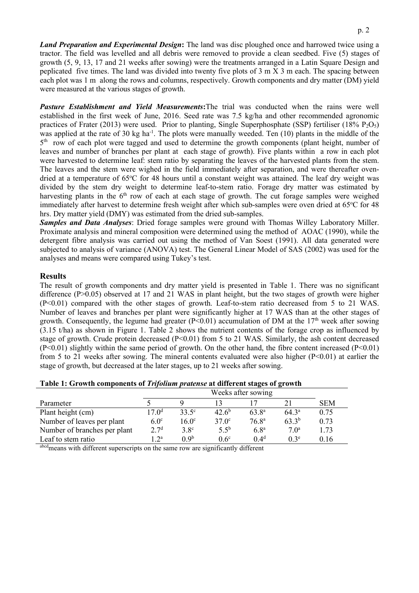*Land Preparation and Experimental Design***:** The land was disc ploughed once and harrowed twice using a tractor. The field was levelled and all debris were removed to provide a clean seedbed. Five (5) stages of growth (5, 9, 13, 17 and 21 weeks after sowing) were the treatments arranged in a Latin Square Design and peplicated five times. The land was divided into twenty five plots of 3 m X 3 m each. The spacing between each plot was 1 m along the rows and columns, respectively. Growth components and dry matter (DM) yield were measured at the various stages of growth.

*Pasture Establishment and Yield Measurements***:**The trial was conducted when the rains were well established in the first week of June, 2016. Seed rate was 7.5 kg/ha and other recommended agronomic practices of Frater (2013) were used. Prior to planting, Single Superphosphate (SSP) fertiliser (18%  $P_2O_5$ ) was applied at the rate of 30 kg ha<sup>-1</sup>. The plots were manually weeded. Ten  $(10)$  plants in the middle of the 5<sup>th</sup> row of each plot were tagged and used to determine the growth components (plant height, number of leaves and number of branches per plant at each stage of growth). Five plants within a row in each plot were harvested to determine leaf: stem ratio by separating the leaves of the harvested plants from the stem. The leaves and the stem were wighed in the field immediately after separation, and were thereafter ovendried at a temperature of 65°C for 48 hours until a constant weight was attained. The leaf dry weight was divided by the stem dry weight to determine leaf-to-stem ratio. Forage dry matter was estimated by harvesting plants in the  $6<sup>th</sup>$  row of each at each stage of growth. The cut forage samples were weighed immediately after harvest to determine fresh weight after which sub-samples were oven dried at 65°C for 48 hrs. Dry matter yield (DMY) was estimated from the dried sub-samples.

*Samples and Data Analyses*: Dried forage samples were ground with Thomas Willey Laboratory Miller. Proximate analysis and mineral composition were determined using the method of AOAC (1990), while the detergent fibre analysis was carried out using the method of Van Soest (1991). All data generated were subjected to analysis of variance (ANOVA) test. The General Linear Model of SAS (2002) was used for the analyses and means were compared using Tukey's test.

## **Results**

The result of growth components and dry matter yield is presented in Table 1. There was no significant difference (P>0.05) observed at 17 and 21 WAS in plant height, but the two stages of growth were higher (P<0.01) compared with the other stages of growth. Leaf-to-stem ratio decreased from 5 to 21 WAS. Number of leaves and branches per plant were significantly higher at 17 WAS than at the other stages of growth. Consequently, the legume had greater ( $P<0.01$ ) accumulation of DM at the 17<sup>th</sup> week after sowing (3.15 t/ha) as shown in Figure 1. Table 2 shows the nutrient contents of the forage crop as influenced by stage of growth. Crude protein decreased ( $P<0.01$ ) from 5 to 21 WAS. Similarly, the ash content decreased  $(P<0.01)$  slightly within the same period of growth. On the other hand, the fibre content increased  $(P<0.01)$ from 5 to 21 weeks after sowing. The mineral contents evaluated were also higher (P<0.01) at earlier the stage of growth, but decreased at the later stages, up to 21 weeks after sowing.

|  | Table 1: Growth components of Trifolium pratense at different stages of growth |  |  |  |
|--|--------------------------------------------------------------------------------|--|--|--|
|--|--------------------------------------------------------------------------------|--|--|--|

|                              | Weeks after sowing |                   |                |                   |                  |            |
|------------------------------|--------------------|-------------------|----------------|-------------------|------------------|------------|
| Parameter                    |                    |                   |                |                   |                  | <b>SEM</b> |
| Plant height (cm)            | 17.0 <sup>d</sup>  | $33.5^\circ$      | $42.6^{\rm b}$ | $63.8^{\circ}$    | $64.3^{\circ}$   | 0.75       |
| Number of leaves per plant   | 6.0 <sup>c</sup>   | 16.0 <sup>c</sup> | $37.0^{\circ}$ | 76.8 <sup>a</sup> | $63.3^{b}$       | 0.73       |
| Number of branches per plant | 2.7 <sup>d</sup>   | 3.8 <sup>c</sup>  | $5.5^{b}$      | 6.8 <sup>a</sup>  | 7.0 <sup>a</sup> | 1.73       |
| Leaf to stem ratio           | 12a                | 0.9 <sup>b</sup>  | $0.6^\circ$    | 0.4 <sup>d</sup>  | 0.3 <sup>e</sup> | 0.16       |

abcd<sub>means</sub> with different superscripts on the same row are significantly different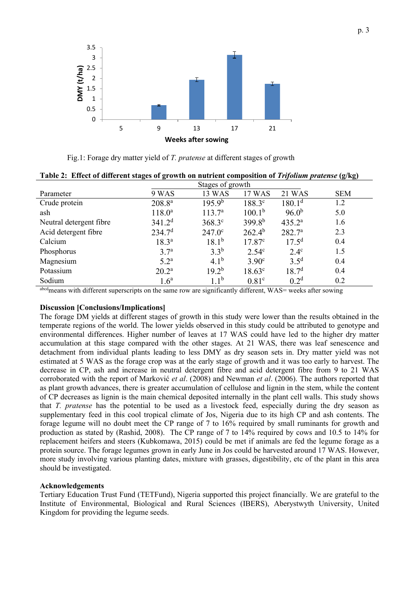

Fig.1: Forage dry matter yield of *T. pratense* at different stages of growth

| Parameter               | 9 WAS              | 13 WAS             | 17 WAS             | <b>21 WAS</b>      | <b>SEM</b> |
|-------------------------|--------------------|--------------------|--------------------|--------------------|------------|
| Crude protein           | $208.8^{a}$        | 195.9 <sup>b</sup> | 188.3c             | 180.1 <sup>d</sup> | 1.2        |
| ash                     | $118.0^a$          | $113.7^{\rm a}$    | 100.1 <sup>b</sup> | $96.0^{b}$         | 5.0        |
| Neutral detergent fibre | 341.2 <sup>d</sup> | $368.3^{\circ}$    | $399.8^{b}$        | $435.2^{\circ}$    | 1.6        |
| Acid detergent fibre    | 234.7 <sup>d</sup> | $247.0^{\circ}$    | $262.4^{b}$        | 282.7 <sup>a</sup> | 2.3        |
| Calcium                 | $18.3^{a}$         | $18.1^{b}$         | 17.87 <sup>c</sup> | $17.5^{\rm d}$     | 0.4        |
| Phosphorus              | 3.7 <sup>a</sup>   | $3.3^{b}$          | 2.54 <sup>c</sup>  | $2.4^\circ$        | 1.5        |
| Magnesium               | $5.2^{\mathrm{a}}$ | $4.1^{b}$          | 3.90 <sup>c</sup>  | $3.5^{\rm d}$      | 0.4        |
| Potassium               | $20.2^{\rm a}$     | $19.2^{b}$         | $18.63^{\circ}$    | 18.7 <sup>d</sup>  | 0.4        |
| Sodium                  | 1.6 <sup>a</sup>   | $1.1^{b}$          | 0.81 <sup>c</sup>  | 0.2 <sup>d</sup>   | 0.2        |

**Table 2: Effect of different stages of growth on nutrient composition of** *Trifolium pratense* **(g/kg)**

abcdmeans with different superscripts on the same row are significantly different, WAS= weeks after sowing

#### **Discussion [Conclusions/Implications]**

The forage DM yields at different stages of growth in this study were lower than the results obtained in the temperate regions of the world. The lower yields observed in this study could be attributed to genotype and environmental differences. Higher number of leaves at 17 WAS could have led to the higher dry matter accumulation at this stage compared with the other stages. At 21 WAS, there was leaf senescence and detachment from individual plants leading to less DMY as dry season sets in. Dry matter yield was not estimated at 5 WAS as the forage crop was at the early stage of growth and it was too early to harvest. The decrease in CP, ash and increase in neutral detergent fibre and acid detergent fibre from 9 to 21 WAS corroborated with the report of Marković *et al*. (2008) and Newman *et al*. (2006). The authors reported that as plant growth advances, there is greater accumulation of cellulose and lignin in the stem, while the content of CP decreases as lignin is the main chemical deposited internally in the plant cell walls. This study shows that *T. pratense* has the potential to be used as a livestock feed, especially during the dry season as supplementary feed in this cool tropical climate of Jos, Nigeria due to its high CP and ash contents. The forage legume will no doubt meet the CP range of 7 to 16% required by small ruminants for growth and production as stated by (Rashid, 2008). The CP range of 7 to 14% required by cows and 10.5 to 14% for replacement heifers and steers (Kubkomawa, 2015) could be met if animals are fed the legume forage as a protein source. The forage legumes grown in early June in Jos could be harvested around 17 WAS. However, more study involving various planting dates, mixture with grasses, digestibility, etc of the plant in this area should be investigated.

#### **Acknowledgements**

Tertiary Education Trust Fund (TETFund), Nigeria supported this project financially. We are grateful to the Institute of Environmental, Biological and Rural Sciences (IBERS), Aberystwyth University, United Kingdom for providing the legume seeds.